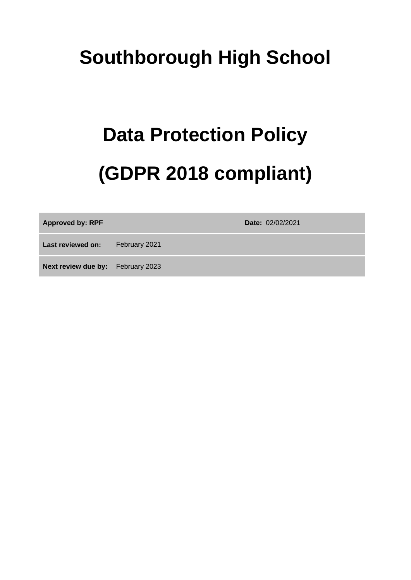## **Southborough High School**

# **Data Protection Policy (GDPR 2018 compliant)**

**Approved by: RPF Date:** 02/02/2021

**Last reviewed on:** February 2021

**Next review due by:** February 2023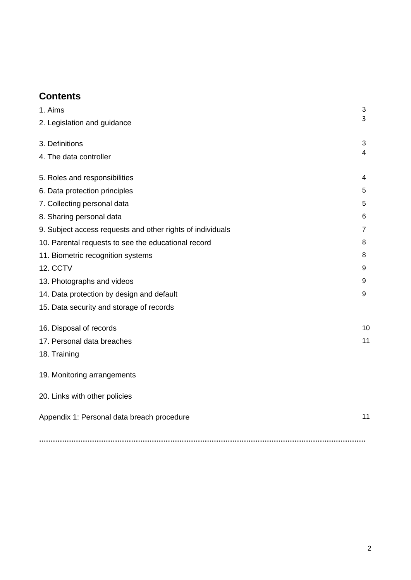## **Contents**

| 1. Aims                                                    | $\mathbf{3}$   |
|------------------------------------------------------------|----------------|
| 2. Legislation and guidance                                | 3              |
| 3. Definitions                                             | 3              |
| 4. The data controller                                     | 4              |
| 5. Roles and responsibilities                              | 4              |
| 6. Data protection principles                              | 5              |
| 7. Collecting personal data                                | 5              |
| 8. Sharing personal data                                   | 6              |
| 9. Subject access requests and other rights of individuals | $\overline{7}$ |
| 10. Parental requests to see the educational record        | 8              |
| 11. Biometric recognition systems                          | 8              |
| 12. CCTV                                                   | 9              |
| 13. Photographs and videos                                 | 9              |
| 14. Data protection by design and default                  | 9              |
| 15. Data security and storage of records                   |                |
| 16. Disposal of records                                    | 1 <sub>C</sub> |
| 17. Personal data breaches                                 | 11             |
| 18. Training                                               |                |
| 19. Monitoring arrangements                                |                |
| 20. Links with other policies                              |                |
| Appendix 1: Personal data breach procedure                 | 11             |
|                                                            |                |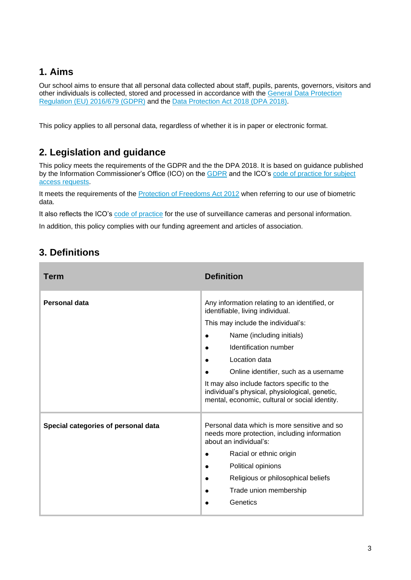## <span id="page-2-0"></span>**1. Aims**

Our school aims to ensure that all personal data collected about staff, pupils, parents, governors, visitors and other individuals is collected, stored and processed in accordance with the [General Data Protection](https://eur-lex.europa.eu/legal-content/EN/TXT/?qid=1528874672298&uri=CELEX:02016R0679-20160504)  [Regulation \(EU\) 2016/679 \(GDPR\)](https://eur-lex.europa.eu/legal-content/EN/TXT/?qid=1528874672298&uri=CELEX:02016R0679-20160504) and the [Data Protection Act 2018 \(DPA 2018\).](http://www.legislation.gov.uk/ukpga/2018/12/contents/enacted)

This policy applies to all personal data, regardless of whether it is in paper or electronic format.

## **2. Legislation and guidance**

This policy meets the requirements of the GDPR and the the DPA 2018. It is based on guidance published by the Information Commissioner's Office (ICO) on the [GDPR](https://ico.org.uk/for-organisations/guide-to-the-general-data-protection-regulation-gdpr/individual-rights/right-to-be-informed/) and the ICO'[s code of practice for subject](https://ico.org.uk/media/for-organisations/documents/2014223/subject-access-code-of-practice.pdf)  [access requests.](https://ico.org.uk/media/for-organisations/documents/2014223/subject-access-code-of-practice.pdf)

It meets the requirements of the [Protection of Freedoms Act 2012](https://www.legislation.gov.uk/ukpga/2012/9/part/1/chapter/2) when referring to our use of biometric data.

It also reflects the ICO's [code of practice](https://ico.org.uk/media/for-organisations/documents/1542/cctv-code-of-practice.pdf) for the use of surveillance cameras and personal information.

In addition, this policy complies with our funding agreement and articles of association.

| Term                                | <b>Definition</b>                                                                                                                                                                                                                                                                                                                                                                                                    |
|-------------------------------------|----------------------------------------------------------------------------------------------------------------------------------------------------------------------------------------------------------------------------------------------------------------------------------------------------------------------------------------------------------------------------------------------------------------------|
| Personal data                       | Any information relating to an identified, or<br>identifiable, living individual.<br>This may include the individual's:<br>Name (including initials)<br>$\bullet$<br>Identification number<br>Location data<br>$\bullet$<br>Online identifier, such as a username<br>It may also include factors specific to the<br>individual's physical, physiological, genetic,<br>mental, economic, cultural or social identity. |
| Special categories of personal data | Personal data which is more sensitive and so<br>needs more protection, including information<br>about an individual's:<br>Racial or ethnic origin<br>Political opinions<br>Religious or philosophical beliefs<br>Trade union membership<br>Genetics                                                                                                                                                                  |

## **3. Definitions**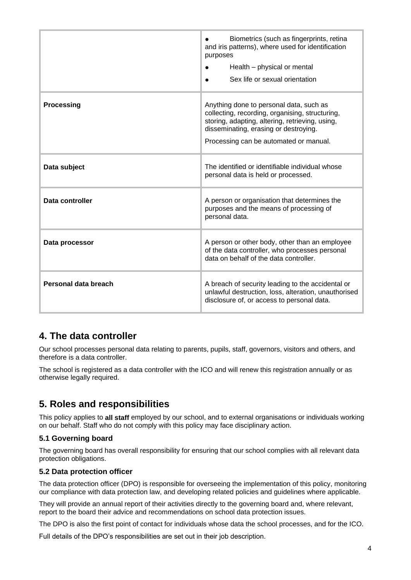|                      | Biometrics (such as fingerprints, retina<br>and iris patterns), where used for identification<br>purposes<br>Health – physical or mental<br>Sex life or sexual orientation                                                       |
|----------------------|----------------------------------------------------------------------------------------------------------------------------------------------------------------------------------------------------------------------------------|
| <b>Processing</b>    | Anything done to personal data, such as<br>collecting, recording, organising, structuring,<br>storing, adapting, altering, retrieving, using,<br>disseminating, erasing or destroying.<br>Processing can be automated or manual. |
| Data subject         | The identified or identifiable individual whose<br>personal data is held or processed.                                                                                                                                           |
| Data controller      | A person or organisation that determines the<br>purposes and the means of processing of<br>personal data.                                                                                                                        |
| Data processor       | A person or other body, other than an employee<br>of the data controller, who processes personal<br>data on behalf of the data controller.                                                                                       |
| Personal data breach | A breach of security leading to the accidental or<br>unlawful destruction, loss, alteration, unauthorised<br>disclosure of, or access to personal data.                                                                          |

## **4. The data controller**

Our school processes personal data relating to parents, pupils, staff, governors, visitors and others, and therefore is a data controller.

The school is registered as a data controller with the ICO and will renew this registration annually or as otherwise legally required.

## **5. Roles and responsibilities**

This policy applies to **all staff** employed by our school, and to external organisations or individuals working on our behalf. Staff who do not comply with this policy may face disciplinary action.

#### **5.1 Governing board**

The governing board has overall responsibility for ensuring that our school complies with all relevant data protection obligations.

#### **5.2 Data protection officer**

The data protection officer (DPO) is responsible for overseeing the implementation of this policy, monitoring our compliance with data protection law, and developing related policies and guidelines where applicable.

They will provide an annual report of their activities directly to the governing board and, where relevant, report to the board their advice and recommendations on school data protection issues.

The DPO is also the first point of contact for individuals whose data the school processes, and for the ICO.

Full details of the DPO's responsibilities are set out in their job description.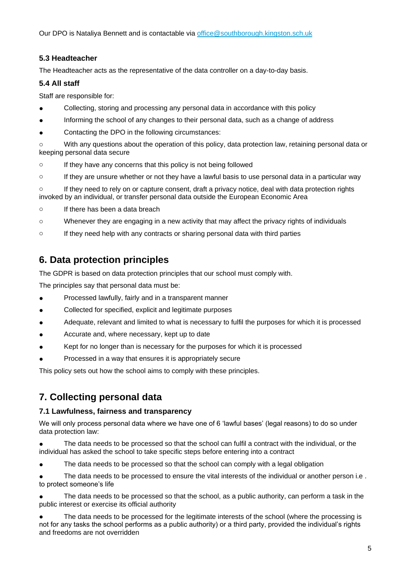Our DPO is Nataliya Bennett and is contactable via [office@southborough.kingston.sch.uk](mailto:office@southborough.kingston.sch.uk)

#### **5.3 Headteacher**

The Headteacher acts as the representative of the data controller on a day-to-day basis.

#### **5.4 All staff**

Staff are responsible for:

- Collecting, storing and processing any personal data in accordance with this policy
- Informing the school of any changes to their personal data, such as a change of address
- Contacting the DPO in the following circumstances:

o With any questions about the operation of this policy, data protection law, retaining personal data or keeping personal data secure

- o If they have any concerns that this policy is not being followed
- o If they are unsure whether or not they have a lawful basis to use personal data in a particular way

 $\circ$  If they need to rely on or capture consent, draft a privacy notice, deal with data protection rights invoked by an individual, or transfer personal data outside the European Economic Area

- o If there has been a data breach
- o Whenever they are engaging in a new activity that may affect the privacy rights of individuals
- $\circ$  If they need help with any contracts or sharing personal data with third parties

## **6. Data protection principles**

The GDPR is based on data protection principles that our school must comply with.

The principles say that personal data must be:

- Processed lawfully, fairly and in a transparent manner
- Collected for specified, explicit and legitimate purposes
- Adequate, relevant and limited to what is necessary to fulfil the purposes for which it is processed
- Accurate and, where necessary, kept up to date
- Kept for no longer than is necessary for the purposes for which it is processed
- Processed in a way that ensures it is appropriately secure

This policy sets out how the school aims to comply with these principles.

## **7. Collecting personal data**

#### **7.1 Lawfulness, fairness and transparency**

We will only process personal data where we have one of 6 'lawful bases' (legal reasons) to do so under data protection law:

The data needs to be processed so that the school can fulfil a contract with the individual, or the individual has asked the school to take specific steps before entering into a contract

The data needs to be processed so that the school can comply with a legal obligation

● The data needs to be processed to ensure the vital interests of the individual or another person i.e . to protect someone's life

The data needs to be processed so that the school, as a public authority, can perform a task in the public interest or exercise its official authority

The data needs to be processed for the legitimate interests of the school (where the processing is not for any tasks the school performs as a public authority) or a third party, provided the individual's rights and freedoms are not overridden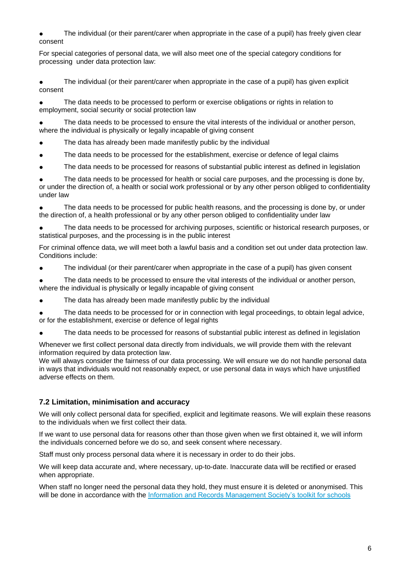The individual (or their parent/carer when appropriate in the case of a pupil) has freely given clear consent

For special categories of personal data, we will also meet one of the special category conditions for processing under data protection law:

● The individual (or their parent/carer when appropriate in the case of a pupil) has given explicit consent

● The data needs to be processed to perform or exercise obligations or rights in relation to employment, social security or social protection law

The data needs to be processed to ensure the vital interests of the individual or another person, where the individual is physically or legally incapable of giving consent

- The data has already been made manifestly public by the individual
- The data needs to be processed for the establishment, exercise or defence of legal claims
- The data needs to be processed for reasons of substantial public interest as defined in legislation

The data needs to be processed for health or social care purposes, and the processing is done by, or under the direction of, a health or social work professional or by any other person obliged to confidentiality under law

The data needs to be processed for public health reasons, and the processing is done by, or under the direction of, a health professional or by any other person obliged to confidentiality under law

The data needs to be processed for archiving purposes, scientific or historical research purposes, or statistical purposes, and the processing is in the public interest

For criminal offence data, we will meet both a lawful basis and a condition set out under data protection law. Conditions include:

● The individual (or their parent/carer when appropriate in the case of a pupil) has given consent

The data needs to be processed to ensure the vital interests of the individual or another person, where the individual is physically or legally incapable of giving consent

The data has already been made manifestly public by the individual

The data needs to be processed for or in connection with legal proceedings, to obtain legal advice, or for the establishment, exercise or defence of legal rights

The data needs to be processed for reasons of substantial public interest as defined in legislation

Whenever we first collect personal data directly from individuals, we will provide them with the relevant information required by data protection law.

We will always consider the fairness of our data processing. We will ensure we do not handle personal data in ways that individuals would not reasonably expect, or use personal data in ways which have unjustified adverse effects on them.

#### **7.2 Limitation, minimisation and accuracy**

We will only collect personal data for specified, explicit and legitimate reasons. We will explain these reasons to the individuals when we first collect their data.

If we want to use personal data for reasons other than those given when we first obtained it, we will inform the individuals concerned before we do so, and seek consent where necessary.

Staff must only process personal data where it is necessary in order to do their jobs.

We will keep data accurate and, where necessary, up-to-date. Inaccurate data will be rectified or erased when appropriate.

When staff no longer need the personal data they hold, they must ensure it is deleted or anonymised. This will be done in accordance with the [Information and Records Management Society's toolkit for schools](http://irms.org.uk/?page=schoolstoolkit&terms=%22toolkit+and+schools%22)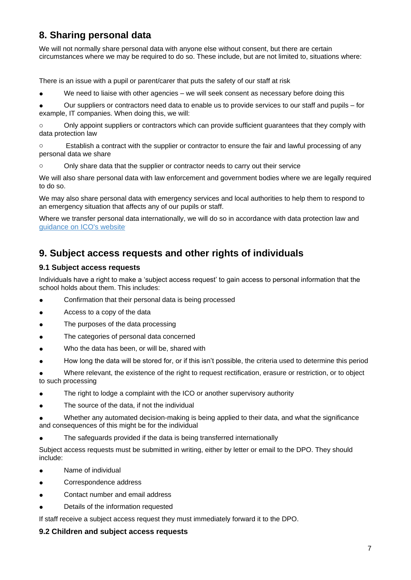## **8. Sharing personal data**

We will not normally share personal data with anyone else without consent, but there are certain circumstances where we may be required to do so. These include, but are not limited to, situations where:

There is an issue with a pupil or parent/carer that puts the safety of our staff at risk

We need to liaise with other agencies – we will seek consent as necessary before doing this

● Our suppliers or contractors need data to enable us to provide services to our staff and pupils – for example, IT companies. When doing this, we will:

o Only appoint suppliers or contractors which can provide sufficient guarantees that they comply with data protection law

o Establish a contract with the supplier or contractor to ensure the fair and lawful processing of any personal data we share

o Only share data that the supplier or contractor needs to carry out their service

We will also share personal data with law enforcement and government bodies where we are legally required to do so.

We may also share personal data with emergency services and local authorities to help them to respond to an emergency situation that affects any of our pupils or staff.

Where we transfer personal data internationally, we will do so in accordance with data protection law and [guidance on ICO's website](https://ico.org.uk/for-organisations/data-protection-at-the-end-of-the-transition-period/data-protection-at-the-end-of-the-transition-period/the-gdpr/international-data-transfers/).

## **9. Subject access requests and other rights of individuals**

#### **9.1 Subject access requests**

Individuals have a right to make a 'subject access request' to gain access to personal information that the school holds about them. This includes:

- Confirmation that their personal data is being processed
- Access to a copy of the data
- The purposes of the data processing
- The categories of personal data concerned
- Who the data has been, or will be, shared with
- How long the data will be stored for, or if this isn't possible, the criteria used to determine this period

Where relevant, the existence of the right to request rectification, erasure or restriction, or to object to such processing

- The right to lodge a complaint with the ICO or another supervisory authority
- The source of the data, if not the individual
- Whether any automated decision-making is being applied to their data, and what the significance and consequences of this might be for the individual
- The safeguards provided if the data is being transferred internationally

Subject access requests must be submitted in writing, either by letter or email to the DPO. They should include:

- Name of individual
- Correspondence address
- Contact number and email address
- Details of the information requested

If staff receive a subject access request they must immediately forward it to the DPO.

#### **9.2 Children and subject access requests**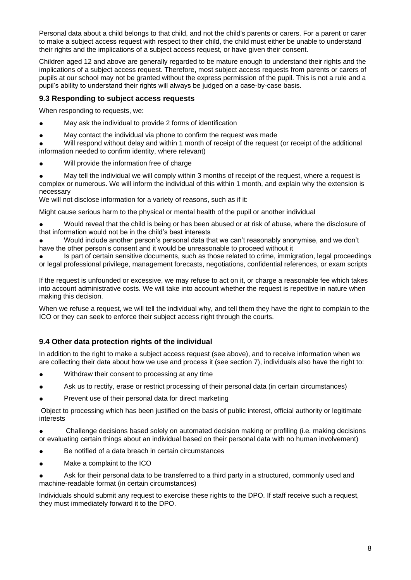Personal data about a child belongs to that child, and not the child's parents or carers. For a parent or carer to make a subject access request with respect to their child, the child must either be unable to understand their rights and the implications of a subject access request, or have given their consent.

Children aged 12 and above are generally regarded to be mature enough to understand their rights and the implications of a subject access request. Therefore, most subject access requests from parents or carers of pupils at our school may not be granted without the express permission of the pupil. This is not a rule and a pupil's ability to understand their rights will always be judged on a case-by-case basis.

#### **9.3 Responding to subject access requests**

When responding to requests, we:

- May ask the individual to provide 2 forms of identification
- May contact the individual via phone to confirm the request was made

Will respond without delay and within 1 month of receipt of the request (or receipt of the additional information needed to confirm identity, where relevant)

- Will provide the information free of charge
- May tell the individual we will comply within 3 months of receipt of the request, where a request is complex or numerous. We will inform the individual of this within 1 month, and explain why the extension is necessary

We will not disclose information for a variety of reasons, such as if it:

Might cause serious harm to the physical or mental health of the pupil or another individual

Would reveal that the child is being or has been abused or at risk of abuse, where the disclosure of that information would not be in the child's best interests

Would include another person's personal data that we can't reasonably anonymise, and we don't have the other person's consent and it would be unreasonable to proceed without it

Is part of certain sensitive documents, such as those related to crime, immigration, legal proceedings or legal professional privilege, management forecasts, negotiations, confidential references, or exam scripts

If the request is unfounded or excessive, we may refuse to act on it, or charge a reasonable fee which takes into account administrative costs. We will take into account whether the request is repetitive in nature when making this decision.

When we refuse a request, we will tell the individual why, and tell them they have the right to complain to the ICO or they can seek to enforce their subject access right through the courts.

#### **9.4 Other data protection rights of the individual**

In addition to the right to make a subject access request (see above), and to receive information when we are collecting their data about how we use and process it (see section 7), individuals also have the right to:

- Withdraw their consent to processing at any time
- Ask us to rectify, erase or restrict processing of their personal data (in certain circumstances)
- Prevent use of their personal data for direct marketing

Object to processing which has been justified on the basis of public interest, official authority or legitimate interests

Challenge decisions based solely on automated decision making or profiling (i.e. making decisions or evaluating certain things about an individual based on their personal data with no human involvement)

- Be notified of a data breach in certain circumstances
- Make a complaint to the ICO

Ask for their personal data to be transferred to a third party in a structured, commonly used and machine-readable format (in certain circumstances)

Individuals should submit any request to exercise these rights to the DPO. If staff receive such a request, they must immediately forward it to the DPO.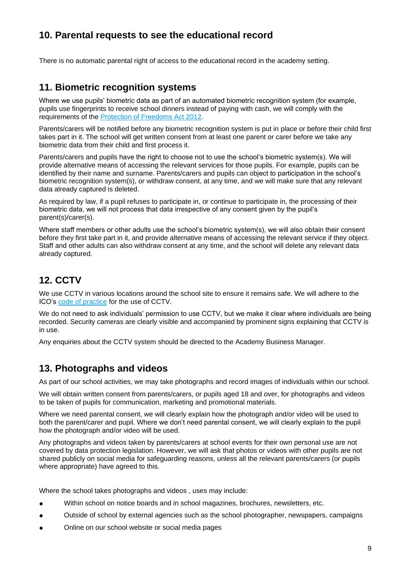## **10. Parental requests to see the educational record**

There is no automatic parental right of access to the educational record in the academy setting.

## **11. Biometric recognition systems**

Where we use pupils' biometric data as part of an automated biometric recognition system (for example, pupils use fingerprints to receive school dinners instead of paying with cash, we will comply with the requirements of the [Protection of Freedoms Act 2012.](https://www.legislation.gov.uk/ukpga/2012/9/section/26)

Parents/carers will be notified before any biometric recognition system is put in place or before their child first takes part in it. The school will get written consent from at least one parent or carer before we take any biometric data from their child and first process it.

Parents/carers and pupils have the right to choose not to use the school's biometric system(s). We will provide alternative means of accessing the relevant services for those pupils. For example, pupils can be identified by their name and surname. Parents/carers and pupils can object to participation in the school's biometric recognition system(s), or withdraw consent, at any time, and we will make sure that any relevant data already captured is deleted.

As required by law, if a pupil refuses to participate in, or continue to participate in, the processing of their biometric data, we will not process that data irrespective of any consent given by the pupil's parent(s)/carer(s).

Where staff members or other adults use the school's biometric system(s), we will also obtain their consent before they first take part in it, and provide alternative means of accessing the relevant service if they object. Staff and other adults can also withdraw consent at any time, and the school will delete any relevant data already captured.

## **12. CCTV**

We use CCTV in various locations around the school site to ensure it remains safe. We will adhere to the ICO's [code of practice](https://ico.org.uk/media/for-organisations/documents/1542/cctv-code-of-practice.pdf) for the use of CCTV.

We do not need to ask individuals' permission to use CCTV, but we make it clear where individuals are being recorded. Security cameras are clearly visible and accompanied by prominent signs explaining that CCTV is in use.

Any enquiries about the CCTV system should be directed to the Academy Business Manager.

## **13. Photographs and videos**

As part of our school activities, we may take photographs and record images of individuals within our school.

We will obtain written consent from parents/carers, or pupils aged 18 and over, for photographs and videos to be taken of pupils for communication, marketing and promotional materials.

Where we need parental consent, we will clearly explain how the photograph and/or video will be used to both the parent/carer and pupil. Where we don't need parental consent, we will clearly explain to the pupil how the photograph and/or video will be used.

Any photographs and videos taken by parents/carers at school events for their own personal use are not covered by data protection legislation. However, we will ask that photos or videos with other pupils are not shared publicly on social media for safeguarding reasons, unless all the relevant parents/carers (or pupils where appropriate) have agreed to this.

Where the school takes photographs and videos , uses may include:

- Within school on notice boards and in school magazines, brochures, newsletters, etc.
- Outside of school by external agencies such as the school photographer, newspapers, campaigns
- Online on our school website or social media pages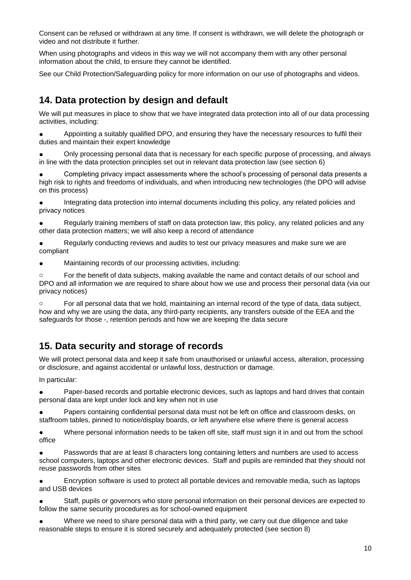Consent can be refused or withdrawn at any time. If consent is withdrawn, we will delete the photograph or video and not distribute it further.

When using photographs and videos in this way we will not accompany them with any other personal information about the child, to ensure they cannot be identified.

See our Child Protection/Safeguarding policy for more information on our use of photographs and videos.

## **14. Data protection by design and default**

We will put measures in place to show that we have integrated data protection into all of our data processing activities, including:

Appointing a suitably qualified DPO, and ensuring they have the necessary resources to fulfil their duties and maintain their expert knowledge

Only processing personal data that is necessary for each specific purpose of processing, and always in line with the data protection principles set out in relevant data protection law (see section 6)

Completing privacy impact assessments where the school's processing of personal data presents a high risk to rights and freedoms of individuals, and when introducing new technologies (the DPO will advise on this process)

Integrating data protection into internal documents including this policy, any related policies and privacy notices

Regularly training members of staff on data protection law, this policy, any related policies and any other data protection matters; we will also keep a record of attendance

Regularly conducting reviews and audits to test our privacy measures and make sure we are compliant

● Maintaining records of our processing activities, including:

o For the benefit of data subjects, making available the name and contact details of our school and DPO and all information we are required to share about how we use and process their personal data (via our privacy notices)

 $\circ$  For all personal data that we hold, maintaining an internal record of the type of data, data subject, how and why we are using the data, any third-party recipients, any transfers outside of the EEA and the safeguards for those -, retention periods and how we are keeping the data secure

## **15. Data security and storage of records**

We will protect personal data and keep it safe from unauthorised or unlawful access, alteration, processing or disclosure, and against accidental or unlawful loss, destruction or damage.

In particular:

● Paper-based records and portable electronic devices, such as laptops and hard drives that contain personal data are kept under lock and key when not in use

Papers containing confidential personal data must not be left on office and classroom desks, on staffroom tables, pinned to notice/display boards, or left anywhere else where there is general access

● Where personal information needs to be taken off site, staff must sign it in and out from the school office

● Passwords that are at least 8 characters long containing letters and numbers are used to access school computers, laptops and other electronic devices. Staff and pupils are reminded that they should not reuse passwords from other sites

● Encryption software is used to protect all portable devices and removable media, such as laptops and USB devices

Staff, pupils or governors who store personal information on their personal devices are expected to follow the same security procedures as for school-owned equipment

Where we need to share personal data with a third party, we carry out due diligence and take reasonable steps to ensure it is stored securely and adequately protected (see section 8)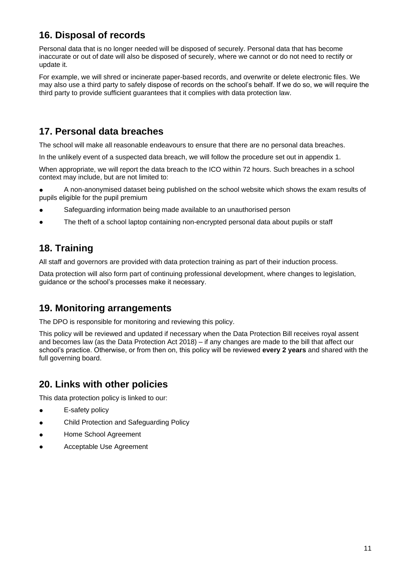## **16. Disposal of records**

Personal data that is no longer needed will be disposed of securely. Personal data that has become inaccurate or out of date will also be disposed of securely, where we cannot or do not need to rectify or update it.

For example, we will shred or incinerate paper-based records, and overwrite or delete electronic files. We may also use a third party to safely dispose of records on the school's behalf. If we do so, we will require the third party to provide sufficient guarantees that it complies with data protection law.

## **17. Personal data breaches**

The school will make all reasonable endeavours to ensure that there are no personal data breaches.

In the unlikely event of a suspected data breach, we will follow the procedure set out in appendix 1.

When appropriate, we will report the data breach to the ICO within 72 hours. Such breaches in a school context may include, but are not limited to:

● A non-anonymised dataset being published on the school website which shows the exam results of pupils eligible for the pupil premium

- Safeguarding information being made available to an unauthorised person
- The theft of a school laptop containing non-encrypted personal data about pupils or staff

## **18. Training**

All staff and governors are provided with data protection training as part of their induction process.

Data protection will also form part of continuing professional development, where changes to legislation, guidance or the school's processes make it necessary.

## **19. Monitoring arrangements**

The DPO is responsible for monitoring and reviewing this policy.

This policy will be reviewed and updated if necessary when the Data Protection Bill receives royal assent and becomes law (as the Data Protection Act 2018) – if any changes are made to the bill that affect our school's practice. Otherwise, or from then on, this policy will be reviewed **every 2 years** and shared with the full governing board.

## **20. Links with other policies**

This data protection policy is linked to our:

- **E-safety policy**
- Child Protection and Safeguarding Policy
- Home School Agreement
- Acceptable Use Agreement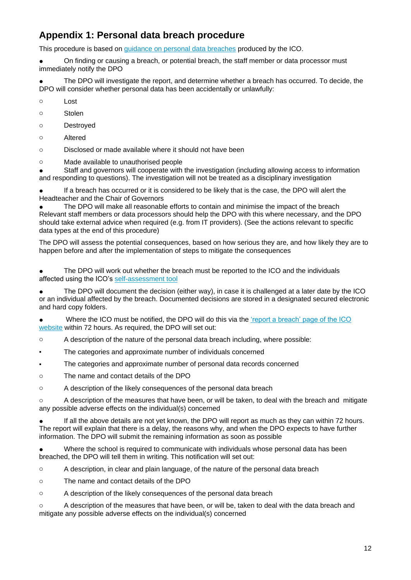## **Appendix 1: Personal data breach procedure**

This procedure is based on [guidance on personal data breaches](https://ico.org.uk/for-organisations/guide-to-the-general-data-protection-regulation-gdpr/personal-data-breaches/) produced by the ICO.

● On finding or causing a breach, or potential breach, the staff member or data processor must immediately notify the DPO

The DPO will investigate the report, and determine whether a breach has occurred. To decide, the DPO will consider whether personal data has been accidentally or unlawfully:

o Lost

o Stolen

- o Destroyed
- o Altered

o Disclosed or made available where it should not have been

o Made available to unauthorised people

Staff and governors will cooperate with the investigation (including allowing access to information and responding to questions). The investigation will not be treated as a disciplinary investigation

● If a breach has occurred or it is considered to be likely that is the case, the DPO will alert the Headteacher and the Chair of Governors

The DPO will make all reasonable efforts to contain and minimise the impact of the breach Relevant staff members or data processors should help the DPO with this where necessary, and the DPO should take external advice when required (e.g. from IT providers). (See the actions relevant to specific data types at the end of this procedure)

The DPO will assess the potential consequences, based on how serious they are, and how likely they are to happen before and after the implementation of steps to mitigate the consequences

The DPO will work out whether the breach must be reported to the ICO and the individuals affected using the ICO's [self-assessment tool](https://ico.org.uk/for-organisations/report-a-breach/personal-data-breach-assessment/)

● The DPO will document the decision (either way), in case it is challenged at a later date by the ICO or an individual affected by the breach. Documented decisions are stored in a designated secured electronic and hard copy folders.

Where the ICO must be notified, the DPO will do this via the 'report a breach' page of the ICO [website](https://ico.org.uk/for-organisations/report-a-breach/) within 72 hours. As required, the DPO will set out:

 $\circ$  A description of the nature of the personal data breach including, where possible:

- The categories and approximate number of individuals concerned
- The categories and approximate number of personal data records concerned
- o The name and contact details of the DPO

o A description of the likely consequences of the personal data breach

 $\circ$  A description of the measures that have been, or will be taken, to deal with the breach and mitigate any possible adverse effects on the individual(s) concerned

If all the above details are not yet known, the DPO will report as much as they can within 72 hours. The report will explain that there is a delay, the reasons why, and when the DPO expects to have further information. The DPO will submit the remaining information as soon as possible

Where the school is required to communicate with individuals whose personal data has been breached, the DPO will tell them in writing. This notification will set out:

o A description, in clear and plain language, of the nature of the personal data breach

- o The name and contact details of the DPO
- o A description of the likely consequences of the personal data breach

o A description of the measures that have been, or will be, taken to deal with the data breach and mitigate any possible adverse effects on the individual(s) concerned